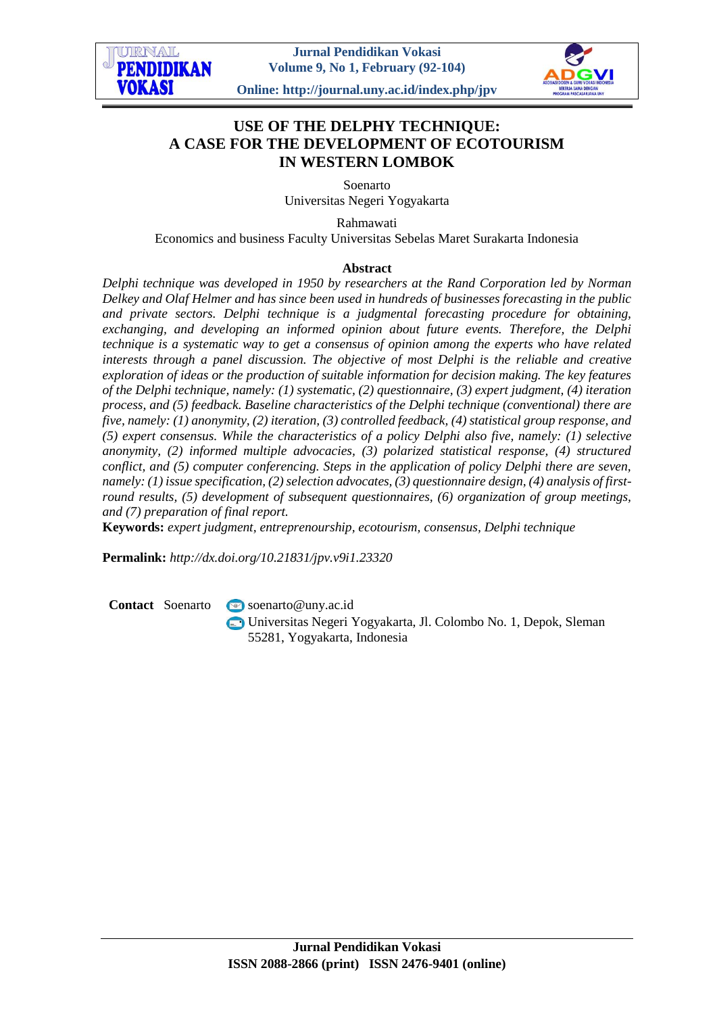

**Online: http://journal.uny.ac.id/index.php/jpv**



# **USE OF THE DELPHY TECHNIQUE: A CASE FOR THE DEVELOPMENT OF ECOTOURISM IN WESTERN LOMBOK**

Soenarto Universitas Negeri Yogyakarta

Rahmawati Economics and business Faculty Universitas Sebelas Maret Surakarta Indonesia

#### **Abstract**

*Delphi technique was developed in 1950 by researchers at the Rand Corporation led by Norman Delkey and Olaf Helmer and has since been used in hundreds of businesses forecasting in the public and private sectors. Delphi technique is a judgmental forecasting procedure for obtaining, exchanging, and developing an informed opinion about future events. Therefore, the Delphi technique is a systematic way to get a consensus of opinion among the experts who have related interests through a panel discussion. The objective of most Delphi is the reliable and creative exploration of ideas or the production of suitable information for decision making. The key features of the Delphi technique, namely: (1) systematic, (2) questionnaire, (3) expert judgment, (4) iteration process, and (5) feedback. Baseline characteristics of the Delphi technique (conventional) there are five, namely: (1) anonymity, (2) iteration, (3) controlled feedback, (4) statistical group response, and (5) expert consensus. While the characteristics of a policy Delphi also five, namely: (1) selective anonymity, (2) informed multiple advocacies, (3) polarized statistical response, (4) structured conflict, and (5) computer conferencing. Steps in the application of policy Delphi there are seven, namely: (1) issue specification, (2) selection advocates, (3) questionnaire design, (4) analysis of firstround results, (5) development of subsequent questionnaires, (6) organization of group meetings, and (7) preparation of final report.*

**Keywords:** *expert judgment, entreprenourship, ecotourism, consensus, Delphi technique*

**Permalink:** *http://dx.doi.org/10.21831/jpv.v9i1.23320*

**Contact** Soenarto [soenarto@uny.ac.id](mailto:soenarto@uny.ac.id)

Universitas Negeri Yogyakarta, Jl. Colombo No. 1, Depok, Sleman 55281, Yogyakarta, Indonesia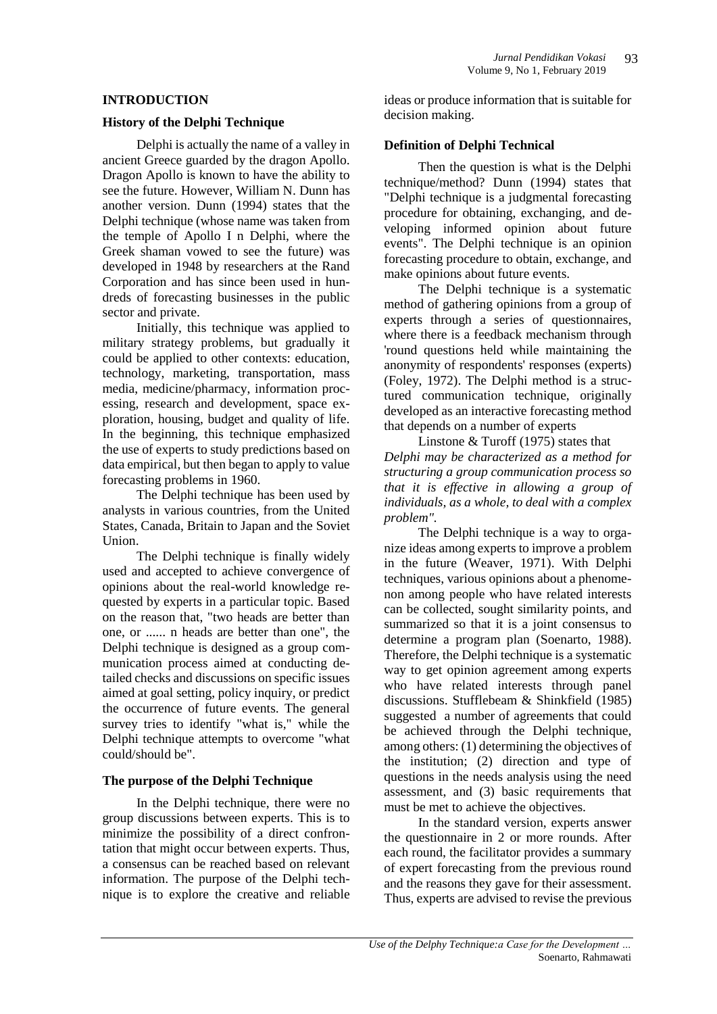## **History of the Delphi Technique**

Delphi is actually the name of a valley in ancient Greece guarded by the dragon Apollo. Dragon Apollo is known to have the ability to see the future. However, William N. Dunn has another version. Dunn (1994) states that the Delphi technique (whose name was taken from the temple of Apollo I n Delphi, where the Greek shaman vowed to see the future) was developed in 1948 by researchers at the Rand Corporation and has since been used in hundreds of forecasting businesses in the public sector and private.

Initially, this technique was applied to military strategy problems, but gradually it could be applied to other contexts: education, technology, marketing, transportation, mass media, medicine/pharmacy, information processing, research and development, space exploration, housing, budget and quality of life. In the beginning, this technique emphasized the use of experts to study predictions based on data empirical, but then began to apply to value forecasting problems in 1960.

The Delphi technique has been used by analysts in various countries, from the United States, Canada, Britain to Japan and the Soviet Union.

The Delphi technique is finally widely used and accepted to achieve convergence of opinions about the real-world knowledge requested by experts in a particular topic. Based on the reason that, "two heads are better than one, or ...... n heads are better than one", the Delphi technique is designed as a group communication process aimed at conducting detailed checks and discussions on specific issues aimed at goal setting, policy inquiry, or predict the occurrence of future events. The general survey tries to identify "what is," while the Delphi technique attempts to overcome "what could/should be".

## **The purpose of the Delphi Technique**

In the Delphi technique, there were no group discussions between experts. This is to minimize the possibility of a direct confrontation that might occur between experts. Thus, a consensus can be reached based on relevant information. The purpose of the Delphi technique is to explore the creative and reliable ideas or produce information that is suitable for decision making.

## **Definition of Delphi Technical**

Then the question is what is the Delphi technique/method? Dunn (1994) states that "Delphi technique is a judgmental forecasting procedure for obtaining, exchanging, and developing informed opinion about future events". The Delphi technique is an opinion forecasting procedure to obtain, exchange, and make opinions about future events.

The Delphi technique is a systematic method of gathering opinions from a group of experts through a series of questionnaires, where there is a feedback mechanism through 'round questions held while maintaining the anonymity of respondents' responses (experts) (Foley, 1972). The Delphi method is a structured communication technique, originally developed as an interactive forecasting method that depends on a number of experts

Linstone & Turoff (1975) states that *Delphi may be characterized as a method for structuring a group communication process so that it is effective in allowing a group of individuals, as a whole, to deal with a complex problem".* 

The Delphi technique is a way to organize ideas among experts to improve a problem in the future (Weaver, 1971). With Delphi techniques, various opinions about a phenomenon among people who have related interests can be collected, sought similarity points, and summarized so that it is a joint consensus to determine a program plan (Soenarto, 1988). Therefore, the Delphi technique is a systematic way to get opinion agreement among experts who have related interests through panel discussions. Stufflebeam & Shinkfield (1985) suggested a number of agreements that could be achieved through the Delphi technique, among others: (1) determining the objectives of the institution; (2) direction and type of questions in the needs analysis using the need assessment, and (3) basic requirements that must be met to achieve the objectives.

In the standard version, experts answer the questionnaire in 2 or more rounds. After each round, the facilitator provides a summary of expert forecasting from the previous round and the reasons they gave for their assessment. Thus, experts are advised to revise the previous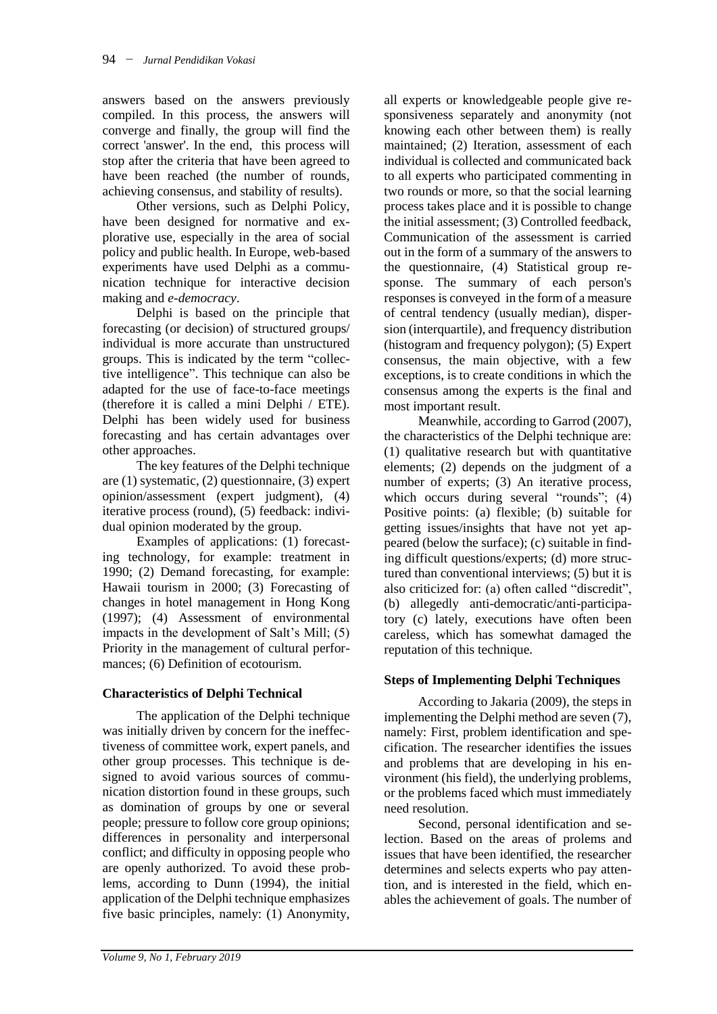answers based on the answers previously compiled. In this process, the answers will converge and finally, the group will find the correct 'answer'. In the end, this process will stop after the criteria that have been agreed to have been reached (the number of rounds, achieving consensus, and stability of results).

Other versions, such as Delphi Policy, have been designed for normative and explorative use, especially in the area of social policy and public health. In Europe, web-based experiments have used Delphi as a communication technique for interactive decision making and *e-democracy*.

Delphi is based on the principle that forecasting (or decision) of structured groups/ individual is more accurate than unstructured groups. This is indicated by the term "collective intelligence". This technique can also be adapted for the use of face-to-face meetings (therefore it is called a mini Delphi / ETE). Delphi has been widely used for business forecasting and has certain advantages over other approaches.

The key features of the Delphi technique are (1) systematic, (2) questionnaire, (3) expert opinion/assessment (expert judgment), (4) iterative process (round), (5) feedback: individual opinion moderated by the group.

Examples of applications: (1) forecasting technology, for example: treatment in 1990; (2) Demand forecasting, for example: Hawaii tourism in 2000; (3) Forecasting of changes in hotel management in Hong Kong (1997); (4) Assessment of environmental impacts in the development of Salt's Mill; (5) Priority in the management of cultural performances; (6) Definition of ecotourism.

# **Characteristics of Delphi Technical**

The application of the Delphi technique was initially driven by concern for the ineffectiveness of committee work, expert panels, and other group processes. This technique is designed to avoid various sources of communication distortion found in these groups, such as domination of groups by one or several people; pressure to follow core group opinions; differences in personality and interpersonal conflict; and difficulty in opposing people who are openly authorized. To avoid these problems, according to Dunn (1994), the initial application of the Delphi technique emphasizes five basic principles, namely: (1) Anonymity,

all experts or knowledgeable people give responsiveness separately and anonymity (not knowing each other between them) is really maintained; (2) Iteration, assessment of each individual is collected and communicated back to all experts who participated commenting in two rounds or more, so that the social learning process takes place and it is possible to change the initial assessment; (3) Controlled feedback, Communication of the assessment is carried out in the form of a summary of the answers to the questionnaire, (4) Statistical group response. The summary of each person's responses is conveyed in the form of a measure of central tendency (usually median), dispersion (interquartile), and frequency distribution (histogram and frequency polygon); (5) Expert consensus, the main objective, with a few exceptions, is to create conditions in which the consensus among the experts is the final and most important result.

Meanwhile, according to Garrod (2007), the characteristics of the Delphi technique are: (1) qualitative research but with quantitative elements; (2) depends on the judgment of a number of experts; (3) An iterative process, which occurs during several "rounds";  $(4)$ Positive points: (a) flexible; (b) suitable for getting issues/insights that have not yet appeared (below the surface); (c) suitable in finding difficult questions/experts; (d) more structured than conventional interviews; (5) but it is also criticized for: (a) often called "discredit", (b) allegedly anti-democratic/anti-participatory (c) lately, executions have often been careless, which has somewhat damaged the reputation of this technique.

## **Steps of Implementing Delphi Techniques**

According to Jakaria (2009), the steps in implementing the Delphi method are seven (7), namely: First, problem identification and specification. The researcher identifies the issues and problems that are developing in his environment (his field), the underlying problems, or the problems faced which must immediately need resolution.

Second, personal identification and selection. Based on the areas of prolems and issues that have been identified, the researcher determines and selects experts who pay attention, and is interested in the field, which enables the achievement of goals. The number of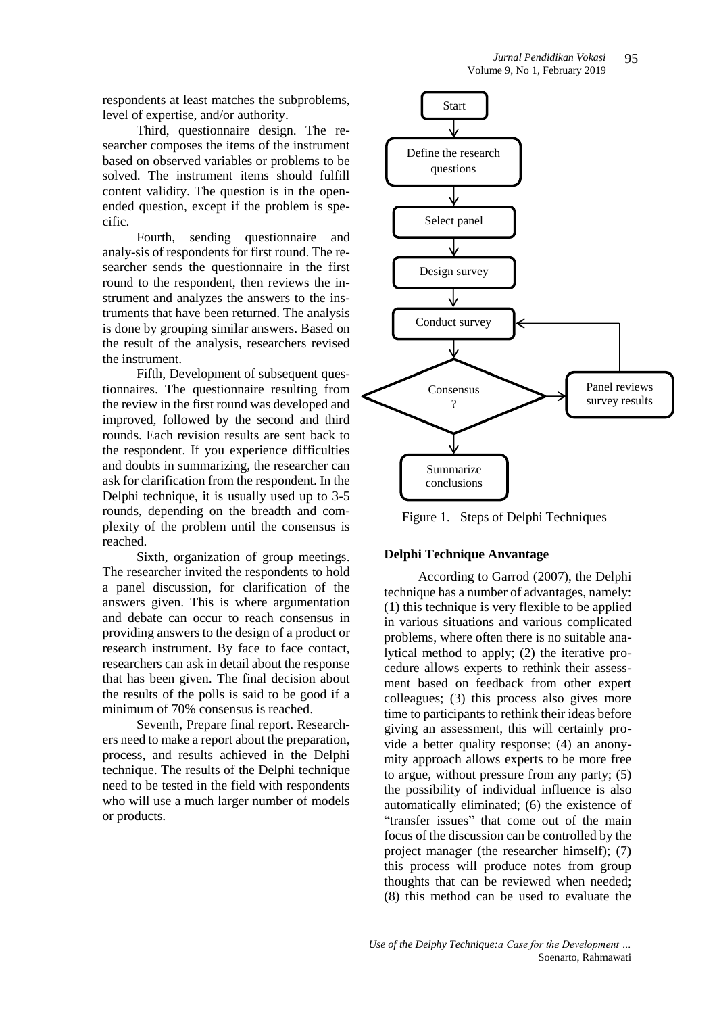respondents at least matches the subproblems, level of expertise, and/or authority.

Third, questionnaire design. The researcher composes the items of the instrument based on observed variables or problems to be solved. The instrument items should fulfill content validity. The question is in the openended question, except if the problem is specific.

Fourth, sending questionnaire and analy-sis of respondents for first round. The researcher sends the questionnaire in the first round to the respondent, then reviews the instrument and analyzes the answers to the instruments that have been returned. The analysis is done by grouping similar answers. Based on the result of the analysis, researchers revised the instrument.

Fifth, Development of subsequent questionnaires. The questionnaire resulting from the review in the first round was developed and improved, followed by the second and third rounds. Each revision results are sent back to the respondent. If you experience difficulties and doubts in summarizing, the researcher can ask for clarification from the respondent. In the Delphi technique, it is usually used up to 3-5 rounds, depending on the breadth and complexity of the problem until the consensus is reached.

Sixth, organization of group meetings. The researcher invited the respondents to hold a panel discussion, for clarification of the answers given. This is where argumentation and debate can occur to reach consensus in providing answers to the design of a product or research instrument. By face to face contact, researchers can ask in detail about the response that has been given. The final decision about the results of the polls is said to be good if a minimum of 70% consensus is reached.

Seventh, Prepare final report. Researchers need to make a report about the preparation, process, and results achieved in the Delphi technique. The results of the Delphi technique need to be tested in the field with respondents who will use a much larger number of models or products.



Figure 1. Steps of Delphi Techniques

## **Delphi Technique Anvantage**

According to Garrod (2007), the Delphi technique has a number of advantages, namely: (1) this technique is very flexible to be applied in various situations and various complicated problems, where often there is no suitable analytical method to apply; (2) the iterative procedure allows experts to rethink their assessment based on feedback from other expert colleagues; (3) this process also gives more time to participants to rethink their ideas before giving an assessment, this will certainly provide a better quality response; (4) an anonymity approach allows experts to be more free to argue, without pressure from any party; (5) the possibility of individual influence is also automatically eliminated; (6) the existence of "transfer issues" that come out of the main focus of the discussion can be controlled by the project manager (the researcher himself); (7) this process will produce notes from group thoughts that can be reviewed when needed; (8) this method can be used to evaluate the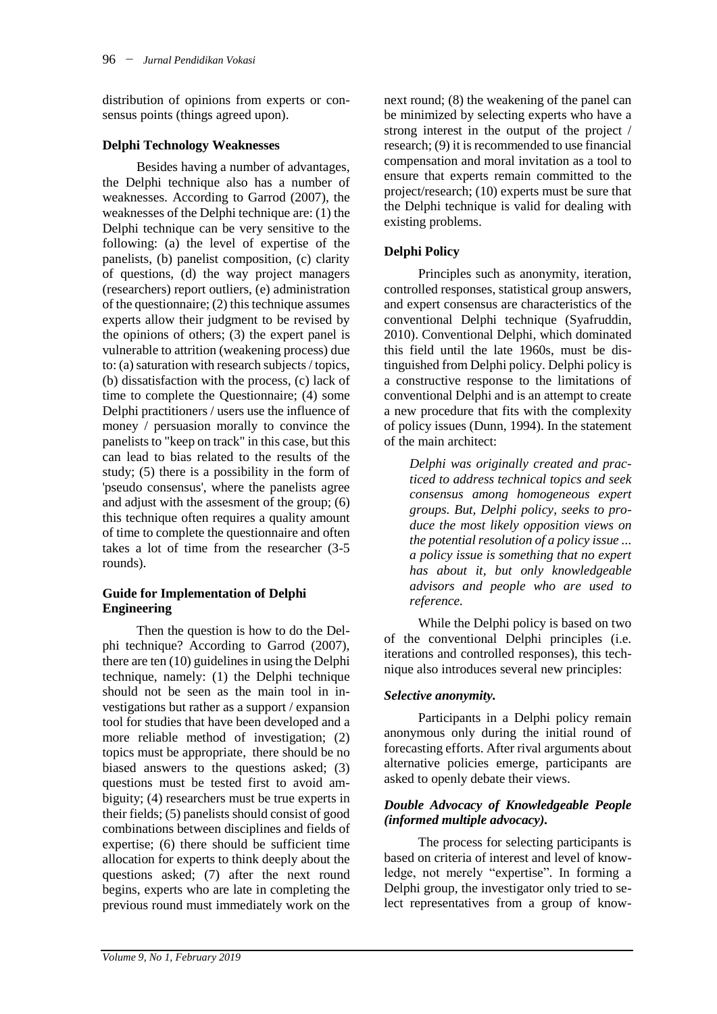distribution of opinions from experts or consensus points (things agreed upon).

## **Delphi Technology Weaknesses**

Besides having a number of advantages, the Delphi technique also has a number of weaknesses. According to Garrod (2007), the weaknesses of the Delphi technique are: (1) the Delphi technique can be very sensitive to the following: (a) the level of expertise of the panelists, (b) panelist composition, (c) clarity of questions, (d) the way project managers (researchers) report outliers, (e) administration of the questionnaire; (2) this technique assumes experts allow their judgment to be revised by the opinions of others; (3) the expert panel is vulnerable to attrition (weakening process) due to: (a) saturation with research subjects / topics, (b) dissatisfaction with the process, (c) lack of time to complete the Questionnaire; (4) some Delphi practitioners / users use the influence of money / persuasion morally to convince the panelists to "keep on track" in this case, but this can lead to bias related to the results of the study; (5) there is a possibility in the form of 'pseudo consensus', where the panelists agree and adjust with the assesment of the group; (6) this technique often requires a quality amount of time to complete the questionnaire and often takes a lot of time from the researcher (3-5 rounds).

## **Guide for Implementation of Delphi Engineering**

Then the question is how to do the Delphi technique? According to Garrod (2007), there are ten (10) guidelines in using the Delphi technique, namely: (1) the Delphi technique should not be seen as the main tool in investigations but rather as a support / expansion tool for studies that have been developed and a more reliable method of investigation; (2) topics must be appropriate, there should be no biased answers to the questions asked; (3) questions must be tested first to avoid ambiguity; (4) researchers must be true experts in their fields; (5) panelists should consist of good combinations between disciplines and fields of expertise; (6) there should be sufficient time allocation for experts to think deeply about the questions asked; (7) after the next round begins, experts who are late in completing the previous round must immediately work on the next round; (8) the weakening of the panel can be minimized by selecting experts who have a strong interest in the output of the project / research; (9) it is recommended to use financial compensation and moral invitation as a tool to ensure that experts remain committed to the project/research; (10) experts must be sure that the Delphi technique is valid for dealing with existing problems.

# **Delphi Policy**

Principles such as anonymity, iteration, controlled responses, statistical group answers, and expert consensus are characteristics of the conventional Delphi technique (Syafruddin, 2010). Conventional Delphi, which dominated this field until the late 1960s, must be distinguished from Delphi policy. Delphi policy is a constructive response to the limitations of conventional Delphi and is an attempt to create a new procedure that fits with the complexity of policy issues (Dunn, 1994). In the statement of the main architect:

*Delphi was originally created and practiced to address technical topics and seek consensus among homogeneous expert groups. But, Delphi policy, seeks to produce the most likely opposition views on the potential resolution of a policy issue ... a policy issue is something that no expert has about it, but only knowledgeable advisors and people who are used to reference.*

While the Delphi policy is based on two of the conventional Delphi principles (i.e. iterations and controlled responses), this technique also introduces several new principles:

## *Selective anonymity.*

Participants in a Delphi policy remain anonymous only during the initial round of forecasting efforts. After rival arguments about alternative policies emerge, participants are asked to openly debate their views.

## *Double Advocacy of Knowledgeable People (informed multiple advocacy).*

The process for selecting participants is based on criteria of interest and level of knowledge, not merely "expertise". In forming a Delphi group, the investigator only tried to select representatives from a group of know-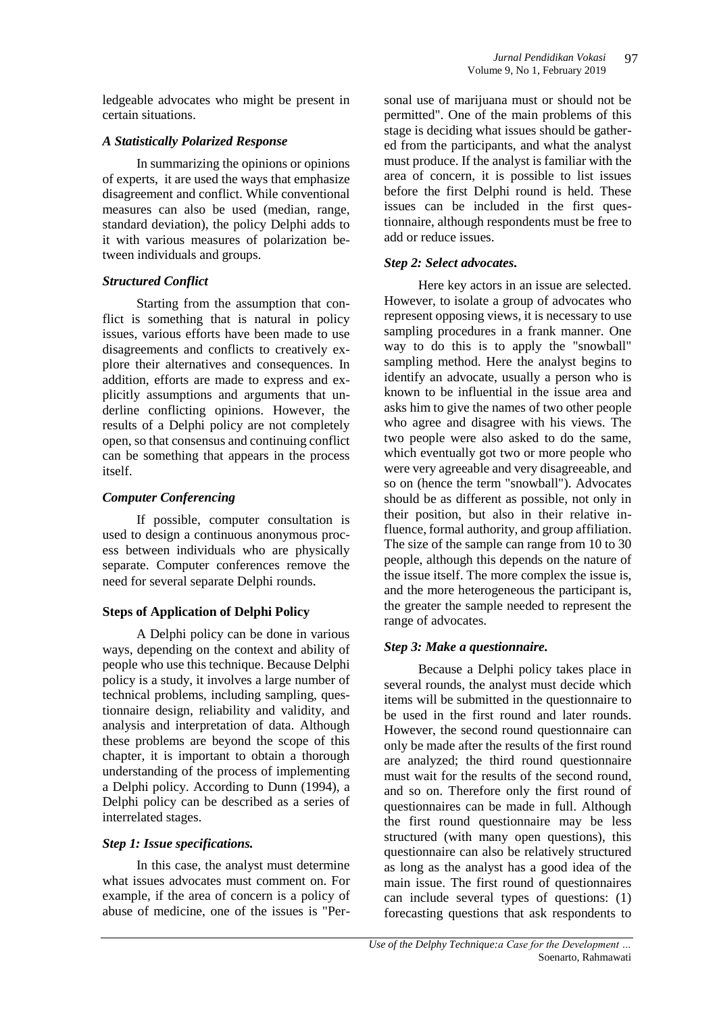ledgeable advocates who might be present in certain situations.

## *A Statistically Polarized Response*

In summarizing the opinions or opinions of experts, it are used the ways that emphasize disagreement and conflict. While conventional measures can also be used (median, range, standard deviation), the policy Delphi adds to it with various measures of polarization between individuals and groups.

## *Structured Conflict*

Starting from the assumption that conflict is something that is natural in policy issues, various efforts have been made to use disagreements and conflicts to creatively explore their alternatives and consequences. In addition, efforts are made to express and explicitly assumptions and arguments that underline conflicting opinions. However, the results of a Delphi policy are not completely open, so that consensus and continuing conflict can be something that appears in the process itself.

# *Computer Conferencing*

If possible, computer consultation is used to design a continuous anonymous process between individuals who are physically separate. Computer conferences remove the need for several separate Delphi rounds.

# **Steps of Application of Delphi Policy**

A Delphi policy can be done in various ways, depending on the context and ability of people who use this technique. Because Delphi policy is a study, it involves a large number of technical problems, including sampling, questionnaire design, reliability and validity, and analysis and interpretation of data. Although these problems are beyond the scope of this chapter, it is important to obtain a thorough understanding of the process of implementing a Delphi policy. According to Dunn (1994), a Delphi policy can be described as a series of interrelated stages.

# *Step 1: Issue specifications.*

In this case, the analyst must determine what issues advocates must comment on. For example, if the area of concern is a policy of abuse of medicine, one of the issues is "Per-

sonal use of marijuana must or should not be permitted". One of the main problems of this stage is deciding what issues should be gathered from the participants, and what the analyst must produce. If the analyst is familiar with the area of concern, it is possible to list issues before the first Delphi round is held. These issues can be included in the first questionnaire, although respondents must be free to add or reduce issues.

# *Step 2: Select advocates.*

Here key actors in an issue are selected. However, to isolate a group of advocates who represent opposing views, it is necessary to use sampling procedures in a frank manner. One way to do this is to apply the "snowball" sampling method. Here the analyst begins to identify an advocate, usually a person who is known to be influential in the issue area and asks him to give the names of two other people who agree and disagree with his views. The two people were also asked to do the same, which eventually got two or more people who were very agreeable and very disagreeable, and so on (hence the term "snowball"). Advocates should be as different as possible, not only in their position, but also in their relative influence, formal authority, and group affiliation. The size of the sample can range from 10 to 30 people, although this depends on the nature of the issue itself. The more complex the issue is, and the more heterogeneous the participant is, the greater the sample needed to represent the range of advocates.

# *Step 3: Make a questionnaire.*

Because a Delphi policy takes place in several rounds, the analyst must decide which items will be submitted in the questionnaire to be used in the first round and later rounds. However, the second round questionnaire can only be made after the results of the first round are analyzed; the third round questionnaire must wait for the results of the second round, and so on. Therefore only the first round of questionnaires can be made in full. Although the first round questionnaire may be less structured (with many open questions), this questionnaire can also be relatively structured as long as the analyst has a good idea of the main issue. The first round of questionnaires can include several types of questions: (1) forecasting questions that ask respondents to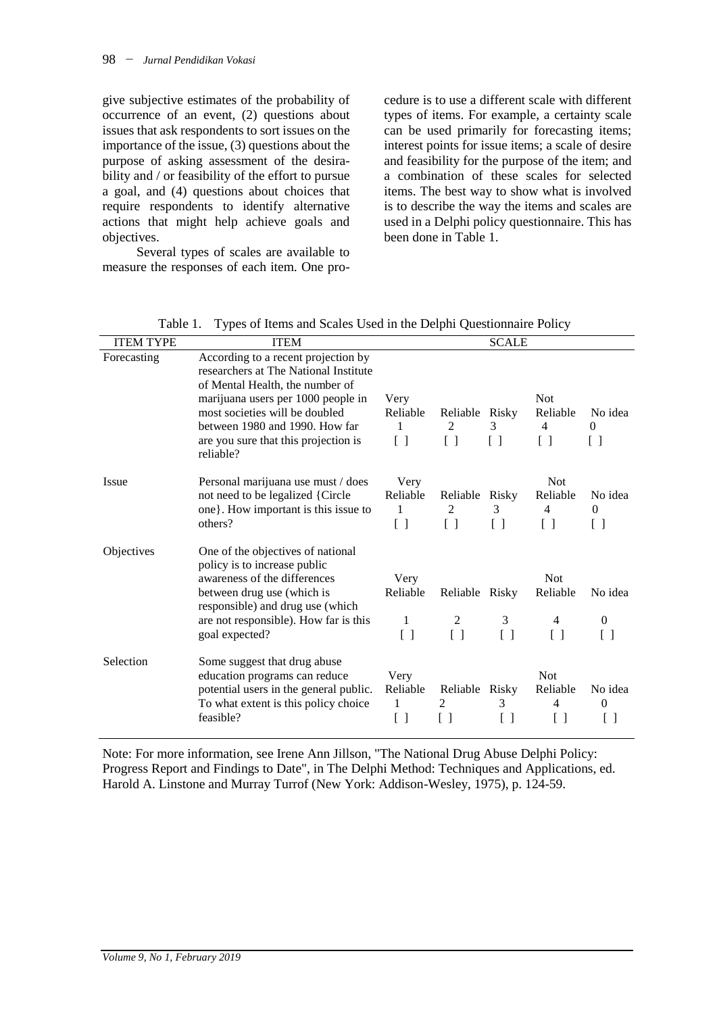give subjective estimates of the probability of occurrence of an event, (2) questions about issues that ask respondents to sort issues on the importance of the issue, (3) questions about the purpose of asking assessment of the desirability and / or feasibility of the effort to pursue a goal, and (4) questions about choices that require respondents to identify alternative actions that might help achieve goals and objectives.

Several types of scales are available to measure the responses of each item. One pro-

cedure is to use a different scale with different types of items. For example, a certainty scale can be used primarily for forecasting items; interest points for issue items; a scale of desire and feasibility for the purpose of the item; and a combination of these scales for selected items. The best way to show what is involved is to describe the way the items and scales are used in a Delphi policy questionnaire. This has been done in Table 1.

| <b>ITEM TYPE</b> | <b>ITEM</b>                                                                                                                                                                                                                                                       |                                                                        |                                                          | <b>SCALE</b>                                       |                                                                |                                                                          |
|------------------|-------------------------------------------------------------------------------------------------------------------------------------------------------------------------------------------------------------------------------------------------------------------|------------------------------------------------------------------------|----------------------------------------------------------|----------------------------------------------------|----------------------------------------------------------------|--------------------------------------------------------------------------|
| Forecasting      | According to a recent projection by<br>researchers at The National Institute<br>of Mental Health, the number of<br>marijuana users per 1000 people in<br>most societies will be doubled<br>between 1980 and 1990. How far<br>are you sure that this projection is | Very<br>Reliable<br>1<br>$\left[ \begin{array}{c} \end{array} \right]$ | Reliable Risky<br>2<br>$[\ ]$                            | 3<br>$[\ ]$                                        | <b>Not</b><br>Reliable<br>$\overline{4}$<br>[]                 | No idea<br>0<br>$\lceil$ 1                                               |
|                  | reliable?                                                                                                                                                                                                                                                         |                                                                        |                                                          |                                                    |                                                                |                                                                          |
| Issue            | Personal marijuana use must / does<br>not need to be legalized {Circle<br>one}. How important is this issue to<br>others?                                                                                                                                         | Very<br>Reliable<br>1<br>$\begin{bmatrix} \end{bmatrix}$               | Reliable Risky<br>2<br>$\begin{bmatrix} 1 \end{bmatrix}$ | 3<br>$\begin{bmatrix} \end{bmatrix}$               | <b>Not</b><br>Reliable<br>4<br>$\begin{bmatrix} \end{bmatrix}$ | No idea<br>$\mathbf{0}$<br>$\left[ \begin{array}{c} \end{array} \right]$ |
| Objectives       | One of the objectives of national<br>policy is to increase public<br>awareness of the differences<br>between drug use (which is<br>responsible) and drug use (which<br>are not responsible). How far is this<br>goal expected?                                    | Very<br>Reliable<br>1<br>$\left[ \begin{array}{c} \end{array} \right]$ | Reliable Risky<br>2<br>$\begin{bmatrix} \end{bmatrix}$   | 3<br>$\left[ \begin{array}{c} \end{array} \right]$ | <b>Not</b><br>Reliable<br>4<br>[ ]                             | No idea<br>$\Omega$<br>Γl                                                |
| Selection        | Some suggest that drug abuse<br>education programs can reduce<br>potential users in the general public.<br>To what extent is this policy choice<br>feasible?                                                                                                      | Very<br>Reliable<br>1<br>$\left[ \begin{array}{c} \end{array} \right]$ | Reliable Risky<br>2                                      | 3<br>Ιl                                            | <b>Not</b><br>Reliable<br>4<br>$\Box$                          | No idea<br>$\boldsymbol{0}$<br>$\perp$                                   |

Table 1. Types of Items and Scales Used in the Delphi Questionnaire Policy

Note: For more information, see Irene Ann Jillson, "The National Drug Abuse Delphi Policy: Progress Report and Findings to Date", in The Delphi Method: Techniques and Applications, ed. Harold A. Linstone and Murray Turrof (New York: Addison-Wesley, 1975), p. 124-59.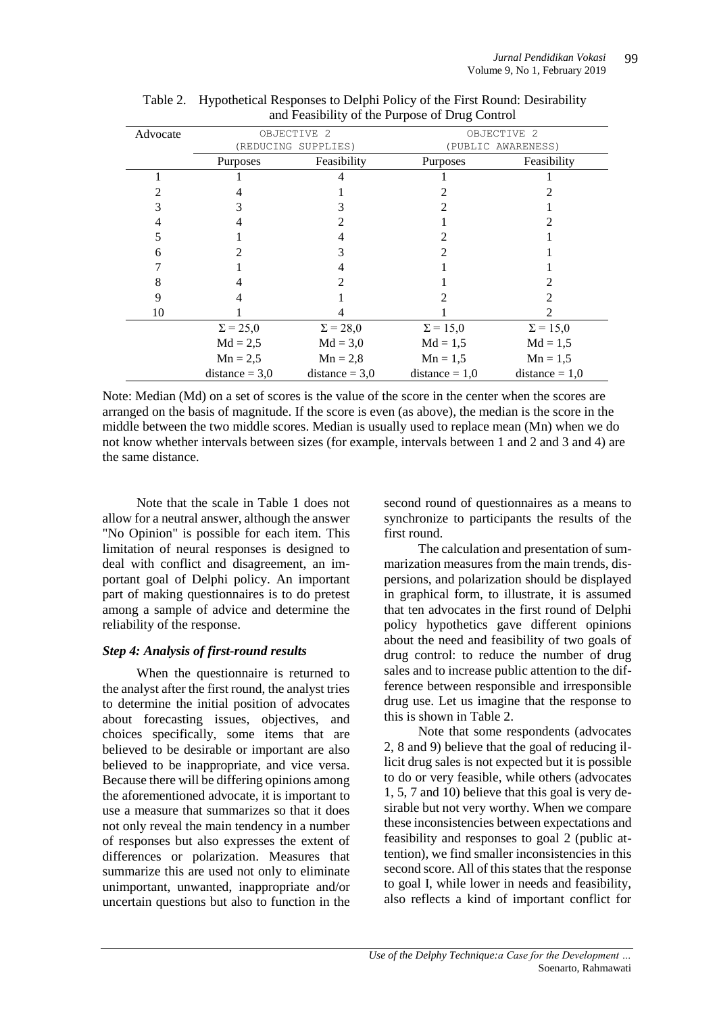| Advocate | OBJECTIVE 2      |                     | OBJECTIVE 2        |                  |  |
|----------|------------------|---------------------|--------------------|------------------|--|
|          |                  | (REDUCING SUPPLIES) | (PUBLIC AWARENESS) |                  |  |
|          | <b>Purposes</b>  | Feasibility         | Purposes           | Feasibility      |  |
|          |                  |                     |                    |                  |  |
|          |                  |                     |                    |                  |  |
|          |                  |                     |                    |                  |  |
| 4        |                  |                     |                    |                  |  |
|          |                  |                     |                    |                  |  |
| 6        |                  |                     |                    |                  |  |
|          |                  |                     |                    |                  |  |
| 8        |                  |                     |                    |                  |  |
| 9        |                  |                     |                    |                  |  |
| 10       |                  |                     |                    |                  |  |
|          | $\Sigma = 25,0$  | $\Sigma = 28,0$     | $\Sigma = 15,0$    | $\Sigma = 15,0$  |  |
|          | $Md = 2,5$       | $Md = 3.0$          | $Md = 1,5$         | $Md = 1,5$       |  |
|          | $Mn = 2,5$       | $Mn = 2,8$          | $Mn = 1.5$         | $Mn = 1,5$       |  |
|          | distance = $3,0$ | $distance = 3.0$    | $distance = 1.0$   | $distance = 1.0$ |  |

Table 2. Hypothetical Responses to Delphi Policy of the First Round: Desirability and Feasibility of the Purpose of Drug Control

Note: Median (Md) on a set of scores is the value of the score in the center when the scores are arranged on the basis of magnitude. If the score is even (as above), the median is the score in the middle between the two middle scores. Median is usually used to replace mean (Mn) when we do not know whether intervals between sizes (for example, intervals between 1 and 2 and 3 and 4) are the same distance.

Note that the scale in Table 1 does not allow for a neutral answer, although the answer "No Opinion" is possible for each item. This limitation of neural responses is designed to deal with conflict and disagreement, an important goal of Delphi policy. An important part of making questionnaires is to do pretest among a sample of advice and determine the reliability of the response.

## *Step 4: Analysis of first-round results*

When the questionnaire is returned to the analyst after the first round, the analyst tries to determine the initial position of advocates about forecasting issues, objectives, and choices specifically, some items that are believed to be desirable or important are also believed to be inappropriate, and vice versa. Because there will be differing opinions among the aforementioned advocate, it is important to use a measure that summarizes so that it does not only reveal the main tendency in a number of responses but also expresses the extent of differences or polarization. Measures that summarize this are used not only to eliminate unimportant, unwanted, inappropriate and/or uncertain questions but also to function in the second round of questionnaires as a means to synchronize to participants the results of the first round.

The calculation and presentation of summarization measures from the main trends, dispersions, and polarization should be displayed in graphical form, to illustrate, it is assumed that ten advocates in the first round of Delphi policy hypothetics gave different opinions about the need and feasibility of two goals of drug control: to reduce the number of drug sales and to increase public attention to the difference between responsible and irresponsible drug use. Let us imagine that the response to this is shown in Table 2.

Note that some respondents (advocates 2, 8 and 9) believe that the goal of reducing illicit drug sales is not expected but it is possible to do or very feasible, while others (advocates 1, 5, 7 and 10) believe that this goal is very desirable but not very worthy. When we compare these inconsistencies between expectations and feasibility and responses to goal 2 (public attention), we find smaller inconsistencies in this second score. All of this states that the response to goal I, while lower in needs and feasibility, also reflects a kind of important conflict for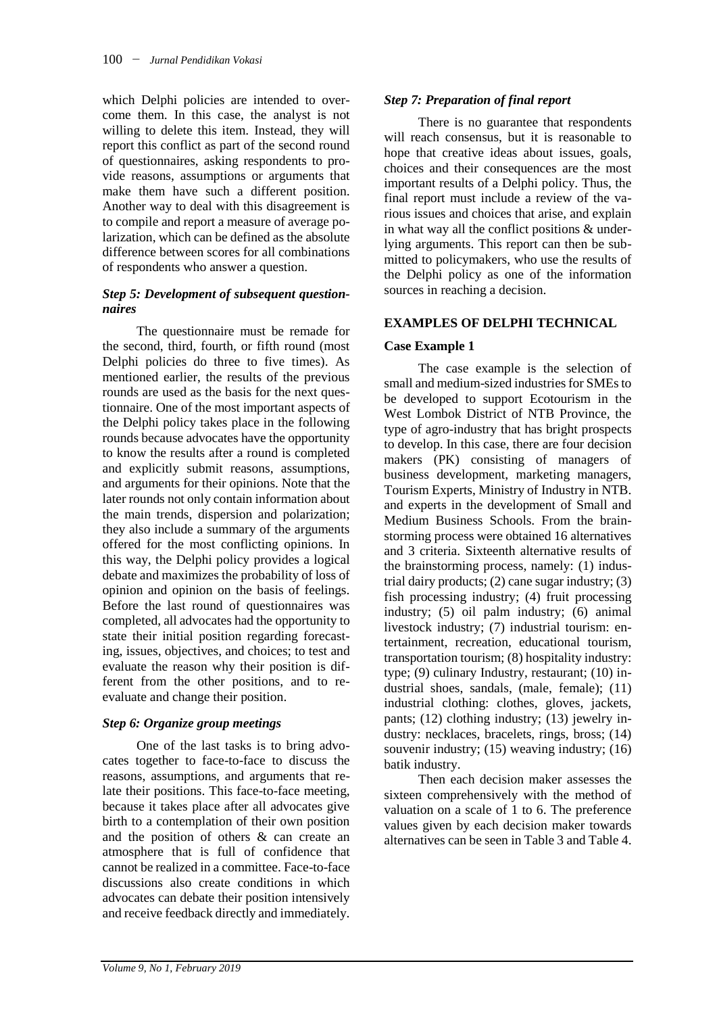which Delphi policies are intended to overcome them. In this case, the analyst is not willing to delete this item. Instead, they will report this conflict as part of the second round of questionnaires, asking respondents to provide reasons, assumptions or arguments that make them have such a different position. Another way to deal with this disagreement is to compile and report a measure of average polarization, which can be defined as the absolute difference between scores for all combinations of respondents who answer a question.

## *Step 5: Development of subsequent questionnaires*

The questionnaire must be remade for the second, third, fourth, or fifth round (most Delphi policies do three to five times). As mentioned earlier, the results of the previous rounds are used as the basis for the next questionnaire. One of the most important aspects of the Delphi policy takes place in the following rounds because advocates have the opportunity to know the results after a round is completed and explicitly submit reasons, assumptions, and arguments for their opinions. Note that the later rounds not only contain information about the main trends, dispersion and polarization; they also include a summary of the arguments offered for the most conflicting opinions. In this way, the Delphi policy provides a logical debate and maximizes the probability of loss of opinion and opinion on the basis of feelings. Before the last round of questionnaires was completed, all advocates had the opportunity to state their initial position regarding forecasting, issues, objectives, and choices; to test and evaluate the reason why their position is different from the other positions, and to reevaluate and change their position.

## *Step 6: Organize group meetings*

One of the last tasks is to bring advocates together to face-to-face to discuss the reasons, assumptions, and arguments that relate their positions. This face-to-face meeting, because it takes place after all advocates give birth to a contemplation of their own position and the position of others & can create an atmosphere that is full of confidence that cannot be realized in a committee. Face-to-face discussions also create conditions in which advocates can debate their position intensively and receive feedback directly and immediately.

## *Step 7: Preparation of final report*

There is no guarantee that respondents will reach consensus, but it is reasonable to hope that creative ideas about issues, goals, choices and their consequences are the most important results of a Delphi policy. Thus, the final report must include a review of the various issues and choices that arise, and explain in what way all the conflict positions & underlying arguments. This report can then be submitted to policymakers, who use the results of the Delphi policy as one of the information sources in reaching a decision.

# **EXAMPLES OF DELPHI TECHNICAL**

## **Case Example 1**

The case example is the selection of small and medium-sized industries for SMEs to be developed to support Ecotourism in the West Lombok District of NTB Province, the type of agro-industry that has bright prospects to develop. In this case, there are four decision makers (PK) consisting of managers of business development, marketing managers, Tourism Experts, Ministry of Industry in NTB. and experts in the development of Small and Medium Business Schools. From the brainstorming process were obtained 16 alternatives and 3 criteria. Sixteenth alternative results of the brainstorming process, namely: (1) industrial dairy products; (2) cane sugar industry; (3) fish processing industry; (4) fruit processing industry; (5) oil palm industry; (6) animal livestock industry; (7) industrial tourism: entertainment, recreation, educational tourism, transportation tourism; (8) hospitality industry: type; (9) culinary Industry, restaurant; (10) industrial shoes, sandals, (male, female); (11) industrial clothing: clothes, gloves, jackets, pants; (12) clothing industry; (13) jewelry industry: necklaces, bracelets, rings, bross; (14) souvenir industry; (15) weaving industry; (16) batik industry.

Then each decision maker assesses the sixteen comprehensively with the method of valuation on a scale of 1 to 6. The preference values given by each decision maker towards alternatives can be seen in Table 3 and Table 4.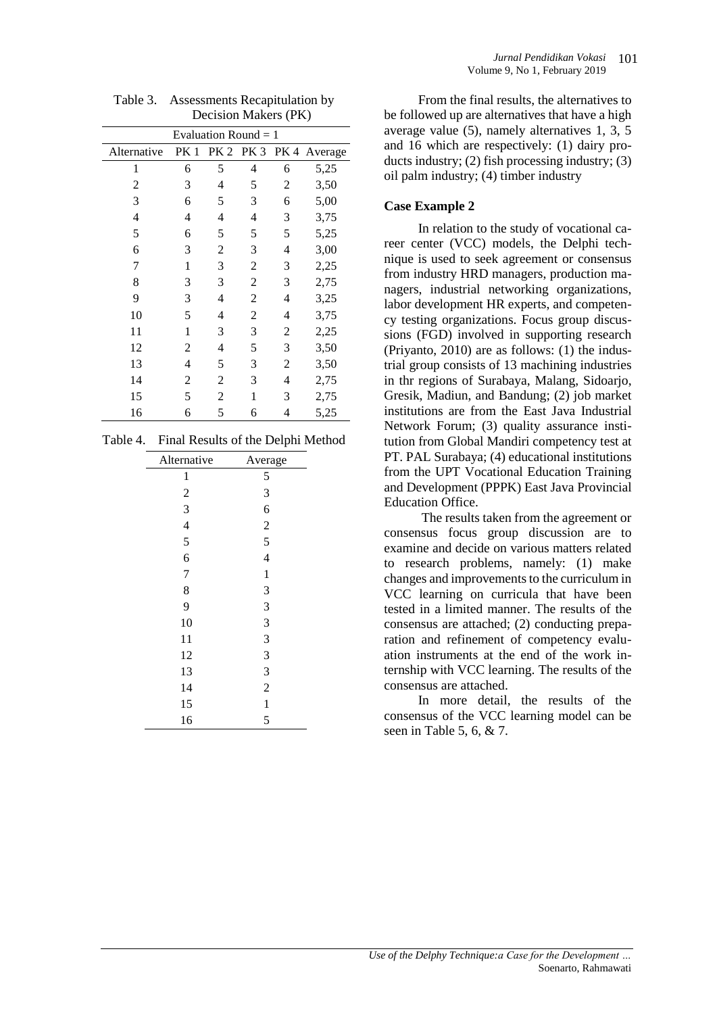| Decision makers (FK) |                        |                 |                 |     |         |
|----------------------|------------------------|-----------------|-----------------|-----|---------|
|                      | Evaluation Round $= 1$ |                 |                 |     |         |
| Alternative          | PK <sub>1</sub>        | PK <sub>2</sub> | PK <sub>3</sub> | PK4 | Average |
| 1                    | 6                      | 5               | 4               | 6   | 5,25    |
| $\overline{c}$       | 3                      | 4               | 5               | 2   | 3,50    |
| 3                    | 6                      | 5               | 3               | 6   | 5,00    |
| $\overline{4}$       | 4                      | 4               | 4               | 3   | 3,75    |
| 5                    | 6                      | 5               | 5               | 5   | 5,25    |
| 6                    | 3                      | 2               | 3               | 4   | 3,00    |
| 7                    | 1                      | 3               | $\overline{2}$  | 3   | 2,25    |
| 8                    | 3                      | 3               | $\overline{2}$  | 3   | 2,75    |
| 9                    | 3                      | $\overline{4}$  | $\overline{2}$  | 4   | 3,25    |
| 10                   | 5                      | 4               | 2               | 4   | 3,75    |
| 11                   | 1                      | 3               | 3               | 2   | 2,25    |
| 12                   | 2                      | 4               | 5               | 3   | 3,50    |
| 13                   | 4                      | 5               | 3               | 2   | 3,50    |
| 14                   | 2                      | $\overline{c}$  | 3               | 4   | 2,75    |
| 15                   | 5                      | $\overline{2}$  | $\mathbf{1}$    | 3   | 2,75    |
| 16                   | 6                      | 5               | 6               | 4   | 5,25    |

Table 3. Assessments Recapitulation by Decision Makers *(PK)* 

| Alternative      | Average        |
|------------------|----------------|
| $\mathbf{1}$     | 5              |
| $\boldsymbol{2}$ | 3              |
| 3                | 6              |
| $\overline{4}$   | $\overline{2}$ |
| 5                | 5              |
| 6                | $\overline{4}$ |
| $\overline{7}$   | $\mathbf{1}$   |
| 8                | 3              |
| 9                | 3              |
| 10               | 3              |
| 11               | 3              |
| 12               | 3              |
| 13               | 3              |
| 14               | $\overline{c}$ |
| 15               | $\mathbf{1}$   |
| 16               | 5              |

From the final results, the alternatives to be followed up are alternatives that have a high average value (5), namely alternatives 1, 3, 5 and 16 which are respectively: (1) dairy products industry; (2) fish processing industry; (3) oil palm industry; (4) timber industry

## **Case Example 2**

In relation to the study of vocational career center (VCC) models, the Delphi technique is used to seek agreement or consensus from industry HRD managers, production managers, industrial networking organizations, labor development HR experts, and competency testing organizations. Focus group discussions (FGD) involved in supporting research (Priyanto, 2010) are as follows: (1) the industrial group consists of 13 machining industries in thr regions of Surabaya, Malang, Sidoarjo, Gresik, Madiun, and Bandung; (2) job market institutions are from the East Java Industrial Network Forum; (3) quality assurance institution from Global Mandiri competency test at PT. PAL Surabaya; (4) educational institutions from the UPT Vocational Education Training and Development (PPPK) East Java Provincial Education Office.

The results taken from the agreement or consensus focus group discussion are to examine and decide on various matters related to research problems, namely: (1) make changes and improvements to the curriculum in VCC learning on curricula that have been tested in a limited manner. The results of the consensus are attached; (2) conducting preparation and refinement of competency evaluation instruments at the end of the work internship with VCC learning. The results of the consensus are attached.

In more detail, the results of the consensus of the VCC learning model can be seen in Table 5, 6, & 7.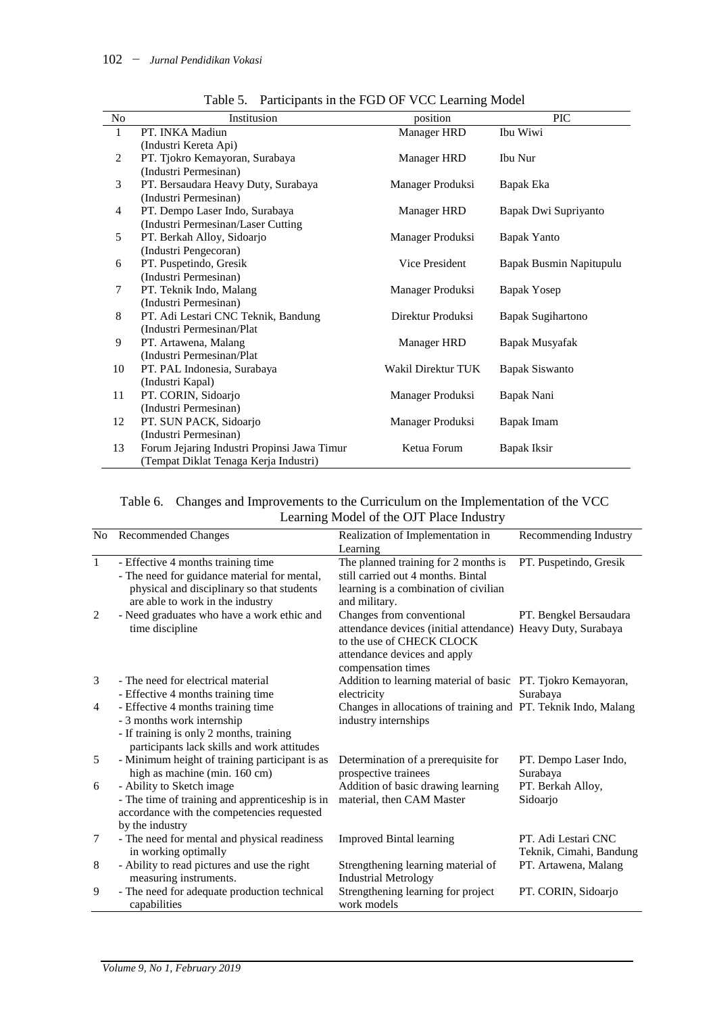| No | Institusion                                 | position           | PIC                      |
|----|---------------------------------------------|--------------------|--------------------------|
| 1  | PT. INKA Madiun                             | <b>Manager HRD</b> | Ibu Wiwi                 |
|    | (Industri Kereta Api)                       |                    |                          |
| 2  | PT. Tjokro Kemayoran, Surabaya              | Manager HRD        | Ibu Nur                  |
|    | (Industri Permesinan)                       |                    |                          |
| 3  | PT. Bersaudara Heavy Duty, Surabaya         | Manager Produksi   | Bapak Eka                |
|    | (Industri Permesinan)                       |                    |                          |
| 4  | PT. Dempo Laser Indo, Surabaya              | Manager HRD        | Bapak Dwi Supriyanto     |
|    | (Industri Permesinan/Laser Cutting          |                    |                          |
| 5  | PT. Berkah Alloy, Sidoarjo                  | Manager Produksi   | <b>Bapak Yanto</b>       |
|    | (Industri Pengecoran)                       |                    |                          |
| 6  | PT. Puspetindo, Gresik                      | Vice President     | Bapak Busmin Napitupulu  |
|    | (Industri Permesinan)                       |                    |                          |
| 7  | PT. Teknik Indo, Malang                     | Manager Produksi   | <b>Bapak Yosep</b>       |
|    | (Industri Permesinan)                       |                    |                          |
| 8  | PT. Adi Lestari CNC Teknik, Bandung         | Direktur Produksi  | <b>Bapak Sugihartono</b> |
|    | (Industri Permesinan/Plat)                  |                    |                          |
| 9  | PT. Artawena, Malang                        | Manager HRD        | Bapak Musyafak           |
|    | (Industri Permesinan/Plat                   |                    |                          |
| 10 | PT. PAL Indonesia, Surabaya                 | Wakil Direktur TUK | <b>Bapak Siswanto</b>    |
|    | (Industri Kapal)                            |                    |                          |
| 11 | PT. CORIN, Sidoarjo                         | Manager Produksi   | Bapak Nani               |
|    | (Industri Permesinan)                       |                    |                          |
| 12 | PT. SUN PACK, Sidoarjo                      | Manager Produksi   | Bapak Imam               |
|    | (Industri Permesinan)                       |                    |                          |
| 13 | Forum Jejaring Industri Propinsi Jawa Timur | Ketua Forum        | Bapak Iksir              |
|    | (Tempat Diklat Tenaga Kerja Industri)       |                    |                          |

|  |  |  |  | Table 5. Participants in the FGD OF VCC Learning Model |
|--|--|--|--|--------------------------------------------------------|
|--|--|--|--|--------------------------------------------------------|

## Table 6. Changes and Improvements to the Curriculum on the Implementation of the VCC Learning Model of the OJT Place Industry

| No.            | <b>Recommended Changes</b>                                                                                                                                  | Realization of Implementation in                                                                                                                                             | Recommending Industry                          |
|----------------|-------------------------------------------------------------------------------------------------------------------------------------------------------------|------------------------------------------------------------------------------------------------------------------------------------------------------------------------------|------------------------------------------------|
|                |                                                                                                                                                             | Learning                                                                                                                                                                     |                                                |
| $\mathbf{1}$   | - Effective 4 months training time<br>- The need for guidance material for mental,                                                                          | The planned training for 2 months is<br>still carried out 4 months. Bintal                                                                                                   | PT. Puspetindo, Gresik                         |
|                | physical and disciplinary so that students<br>are able to work in the industry                                                                              | learning is a combination of civilian<br>and military.                                                                                                                       |                                                |
| 2              | - Need graduates who have a work ethic and<br>time discipline                                                                                               | Changes from conventional<br>attendance devices (initial attendance) Heavy Duty, Surabaya<br>to the use of CHECK CLOCK<br>attendance devices and apply<br>compensation times | PT. Bengkel Bersaudara                         |
| 3              | - The need for electrical material<br>- Effective 4 months training time                                                                                    | Addition to learning material of basic PT. Tjokro Kemayoran,<br>electricity                                                                                                  | Surabaya                                       |
| $\overline{4}$ | - Effective 4 months training time<br>- 3 months work internship<br>- If training is only 2 months, training<br>participants lack skills and work attitudes | Changes in allocations of training and PT. Teknik Indo, Malang<br>industry internships                                                                                       |                                                |
| 5              | - Minimum height of training participant is as<br>high as machine (min. 160 cm)                                                                             | Determination of a prerequisite for<br>prospective trainees                                                                                                                  | PT. Dempo Laser Indo,<br>Surabaya              |
| 6              | - Ability to Sketch image<br>- The time of training and apprenticeship is in<br>accordance with the competencies requested<br>by the industry               | Addition of basic drawing learning<br>material, then CAM Master                                                                                                              | PT. Berkah Alloy,<br>Sidoarjo                  |
| $\tau$         | - The need for mental and physical readiness<br>in working optimally                                                                                        | <b>Improved Bintal learning</b>                                                                                                                                              | PT. Adi Lestari CNC<br>Teknik, Cimahi, Bandung |
| 8              | - Ability to read pictures and use the right<br>measuring instruments.                                                                                      | Strengthening learning material of<br><b>Industrial Metrology</b>                                                                                                            | PT. Artawena, Malang                           |
| 9              | - The need for adequate production technical<br>capabilities                                                                                                | Strengthening learning for project<br>work models                                                                                                                            | PT. CORIN, Sidoarjo                            |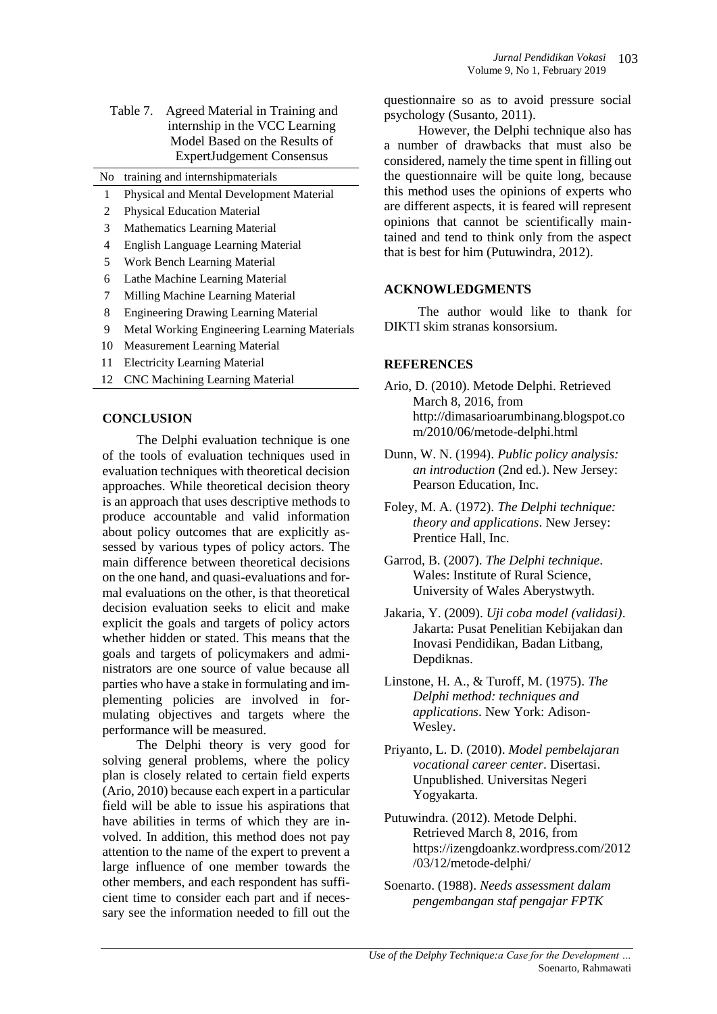| Table 7. Agreed Material in Training and |
|------------------------------------------|
| internship in the VCC Learning           |
| Model Based on the Results of            |
| <b>ExpertJudgement Consensus</b>         |

No training and internshipmaterials

- 1 Physical and Mental Development Material
- 2 Physical Education Material
- 3 Mathematics Learning Material
- 4 English Language Learning Material
- 5 Work Bench Learning Material
- 6 Lathe Machine Learning Material
- 7 Milling Machine Learning Material
- 8 Engineering Drawing Learning Material
- 9 Metal Working Engineering Learning Materials
- 10 Measurement Learning Material
- 11 Electricity Learning Material
- 12 CNC Machining Learning Material

#### **CONCLUSION**

The Delphi evaluation technique is one of the tools of evaluation techniques used in evaluation techniques with theoretical decision approaches. While theoretical decision theory is an approach that uses descriptive methods to produce accountable and valid information about policy outcomes that are explicitly assessed by various types of policy actors. The main difference between theoretical decisions on the one hand, and quasi-evaluations and formal evaluations on the other, is that theoretical decision evaluation seeks to elicit and make explicit the goals and targets of policy actors whether hidden or stated. This means that the goals and targets of policymakers and administrators are one source of value because all parties who have a stake in formulating and implementing policies are involved in formulating objectives and targets where the performance will be measured.

The Delphi theory is very good for solving general problems, where the policy plan is closely related to certain field experts (Ario, 2010) because each expert in a particular field will be able to issue his aspirations that have abilities in terms of which they are involved. In addition, this method does not pay attention to the name of the expert to prevent a large influence of one member towards the other members, and each respondent has sufficient time to consider each part and if necessary see the information needed to fill out the

questionnaire so as to avoid pressure social psychology (Susanto, 2011).

However, the Delphi technique also has a number of drawbacks that must also be considered, namely the time spent in filling out the questionnaire will be quite long, because this method uses the opinions of experts who are different aspects, it is feared will represent opinions that cannot be scientifically maintained and tend to think only from the aspect that is best for him (Putuwindra, 2012).

#### **ACKNOWLEDGMENTS**

The author would like to thank for DIKTI skim stranas konsorsium.

#### **REFERENCES**

- Ario, D. (2010). Metode Delphi. Retrieved March 8, 2016, from http://dimasarioarumbinang.blogspot.co m/2010/06/metode-delphi.html
- Dunn, W. N. (1994). *Public policy analysis: an introduction* (2nd ed.). New Jersey: Pearson Education, Inc.
- Foley, M. A. (1972). *The Delphi technique: theory and applications*. New Jersey: Prentice Hall, Inc.
- Garrod, B. (2007). *The Delphi technique*. Wales: Institute of Rural Science, University of Wales Aberystwyth.
- Jakaria, Y. (2009). *Uji coba model (validasi)*. Jakarta: Pusat Penelitian Kebijakan dan Inovasi Pendidikan, Badan Litbang, Depdiknas.
- Linstone, H. A., & Turoff, M. (1975). *The Delphi method: techniques and applications*. New York: Adison-Wesley.
- Priyanto, L. D. (2010). *Model pembelajaran vocational career center*. Disertasi. Unpublished. Universitas Negeri Yogyakarta.
- Putuwindra. (2012). Metode Delphi. Retrieved March 8, 2016, from https://izengdoankz.wordpress.com/2012 /03/12/metode-delphi/
- Soenarto. (1988). *Needs assessment dalam pengembangan staf pengajar FPTK*